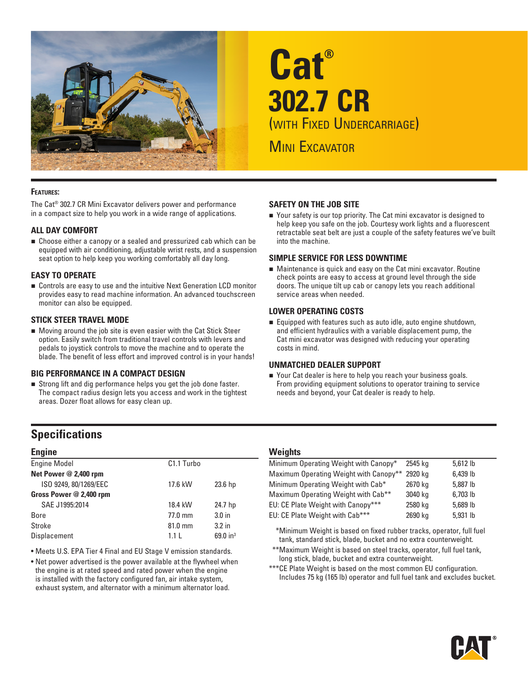

# **Cat® 302.7 CR** (with Fixed Undercarriage) **MINI EXCAVATOR**

#### **Features:**

The Cat® 302.7 CR Mini Excavator delivers power and performance in a compact size to help you work in a wide range of applications.

#### **ALL DAY COMFORT**

■ Choose either a canopy or a sealed and pressurized cab which can be equipped with air conditioning, adjustable wrist rests, and a suspension seat option to help keep you working comfortably all day long.

#### **EASY TO OPERATE**

■ Controls are easy to use and the intuitive Next Generation LCD monitor provides easy to read machine information. An advanced touchscreen monitor can also be equipped.

#### **STICK STEER TRAVEL MODE**

 Moving around the job site is even easier with the Cat Stick Steer option. Easily switch from traditional travel controls with levers and pedals to joystick controls to move the machine and to operate the blade. The benefit of less effort and improved control is in your hands!

#### **BIG PERFORMANCE IN A COMPACT DESIGN**

 Strong lift and dig performance helps you get the job done faster. The compact radius design lets you access and work in the tightest areas. Dozer float allows for easy clean up.

# **Specifications**

#### **Engine**

| <b>Engine Model</b>     | C <sub>1.1</sub> Turbo |                    |
|-------------------------|------------------------|--------------------|
| Net Power @ 2,400 rpm   |                        |                    |
| ISO 9249, 80/1269/EEC   | 17.6 kW                | 23.6 <sub>hp</sub> |
| Gross Power @ 2,400 rpm |                        |                    |
| SAE J1995:2014          | 18.4 kW                | 24.7 hp            |
| <b>Bore</b>             | 77.0 mm                | 3.0 <sub>in</sub>  |
| Stroke                  | 81.0 mm                | 3.2 <sub>in</sub>  |
| Displacement            | 1.1 <sub>L</sub>       | 69.0 $in^3$        |
|                         |                        |                    |

• Meets U.S. EPA Tier 4 Final and EU Stage V emission standards.

• Net power advertised is the power available at the flywheel when the engine is at rated speed and rated power when the engine is installed with the factory configured fan, air intake system, exhaust system, and alternator with a minimum alternator load.

#### **SAFETY ON THE JOB SITE**

■ Your safety is our top priority. The Cat mini excavator is designed to help keep you safe on the job. Courtesy work lights and a fluorescent retractable seat belt are just a couple of the safety features we've built into the machine.

#### **SIMPLE SERVICE FOR LESS DOWNTIME**

 Maintenance is quick and easy on the Cat mini excavator. Routine check points are easy to access at ground level through the side doors. The unique tilt up cab or canopy lets you reach additional service areas when needed.

#### **LOWER OPERATING COSTS**

 Equipped with features such as auto idle, auto engine shutdown, and efficient hydraulics with a variable displacement pump, the Cat mini excavator was designed with reducing your operating costs in mind.

#### **UNMATCHED DEALER SUPPORT**

■ Your Cat dealer is here to help you reach your business goals. From providing equipment solutions to operator training to service needs and beyond, your Cat dealer is ready to help.

#### **Weights**

| Minimum Operating Weight with Canopy*           | 2545 ka | 5,612 lb |
|-------------------------------------------------|---------|----------|
| Maximum Operating Weight with Canopy**          | 2920 kg | 6,439 lb |
| Minimum Operating Weight with Cab*              | 2670 kg | 5,887 lb |
| Maximum Operating Weight with Cab <sup>**</sup> | 3040 kg | 6,703 lb |
| EU: CE Plate Weight with Canopy***              | 2580 kg | 5,689 lb |
| EU: CE Plate Weight with Cab***                 | 2690 kg | 5,931 lb |

\*Minimum Weight is based on fixed rubber tracks, operator, full fuel tank, standard stick, blade, bucket and no extra counterweight.

- \*\*\*Maximum Weight is based on steel tracks, operator, full fuel tank, long stick, blade, bucket and extra counterweight.
- \*\*\*CE Plate Weight is based on the most common EU configuration. Includes 75 kg (165 lb) operator and full fuel tank and excludes bucket.

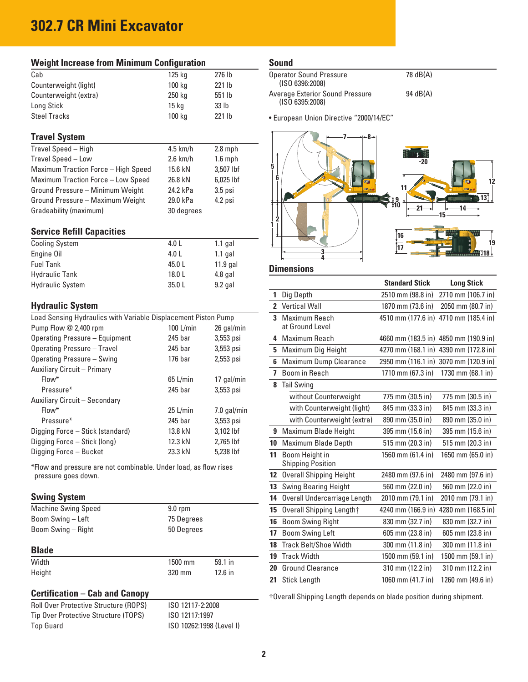# **302.7 CR Mini Excavator**

| <b>Weight Increase from Minimum Configuration</b> |            |           |  |  |  |  |  |  |  |
|---------------------------------------------------|------------|-----------|--|--|--|--|--|--|--|
| Cab                                               | 125 kg     | 276 lb    |  |  |  |  |  |  |  |
| Counterweight (light)                             | 100 kg     | 221 lb    |  |  |  |  |  |  |  |
| Counterweight (extra)                             | 250 kg     | 551 lb    |  |  |  |  |  |  |  |
| Long Stick                                        | 15 kg      | 33 lb     |  |  |  |  |  |  |  |
| <b>Steel Tracks</b>                               | 100 kg     | 221 lb    |  |  |  |  |  |  |  |
| <b>Travel System</b>                              |            |           |  |  |  |  |  |  |  |
| Travel Speed - High                               | $4.5$ km/h | $2.8$ mph |  |  |  |  |  |  |  |
| Travel Speed - Low                                | $2.6$ km/h | $1.6$ mph |  |  |  |  |  |  |  |
| Maximum Traction Force - High Speed               | 15.6 kN    | 3.507 lbf |  |  |  |  |  |  |  |
| Maximum Traction Force - Low Speed                | 26.8 kN    | 6,025 lbf |  |  |  |  |  |  |  |
| Ground Pressure - Minimum Weight                  | 24.2 kPa   | $3.5$ psi |  |  |  |  |  |  |  |
| Ground Pressure - Maximum Weight                  | 29.0 kPa   | 4.2 psi   |  |  |  |  |  |  |  |

#### **Service Refill Capacities**

| 4.0 L  | $1.1$ gal  |
|--------|------------|
| 4.0 L  | $1.1$ gal  |
| 45.0 L | $11.9$ gal |
| 18.0 L | 4.8 gal    |
| 35.0L  | $9.2$ gal  |
|        |            |

Gradeability (maximum) 30 degrees

### **Hydraulic System**

| Load Sensing Hydraulics with Variable Displacement Piston Pump |                    |               |  |  |  |  |  |  |  |
|----------------------------------------------------------------|--------------------|---------------|--|--|--|--|--|--|--|
| Pump Flow @ 2,400 rpm                                          | 100 L/min          | 26 gal/min    |  |  |  |  |  |  |  |
| Operating Pressure - Equipment                                 | $245$ bar          | 3,553 psi     |  |  |  |  |  |  |  |
| Operating Pressure - Travel                                    | 245 bar            | 3,553 psi     |  |  |  |  |  |  |  |
| Operating Pressure - Swing                                     | 176 <sub>bar</sub> | 2,553 psi     |  |  |  |  |  |  |  |
| <b>Auxiliary Circuit - Primary</b>                             |                    |               |  |  |  |  |  |  |  |
| Flow*                                                          | $65$ L/min         | 17 gal/min    |  |  |  |  |  |  |  |
| Pressure*                                                      | 245 bar            | 3,553 psi     |  |  |  |  |  |  |  |
| Auxiliary Circuit - Secondary                                  |                    |               |  |  |  |  |  |  |  |
| Flow*                                                          | $25$ L/min         | $7.0$ gal/min |  |  |  |  |  |  |  |
| Pressure*                                                      | 245 bar            | 3,553 psi     |  |  |  |  |  |  |  |
| Digging Force - Stick (standard)                               | 13.8 kN            | 3.102 lbf     |  |  |  |  |  |  |  |
| Digging Force - Stick (long)                                   | 12.3 kN            | 2.765 lbf     |  |  |  |  |  |  |  |
| Digging Force - Bucket                                         | 23.3 kN            | 5,238 lbf     |  |  |  |  |  |  |  |

\*Flow and pressure are not combinable. Under load, as flow rises pressure goes down.

#### **Swing System**

| <b>Machine Swing Speed</b> | $9.0$ rpm  |           |  |  |  |
|----------------------------|------------|-----------|--|--|--|
| Boom Swing - Left          | 75 Degrees |           |  |  |  |
| Boom Swing - Right         | 50 Degrees |           |  |  |  |
| <b>Blade</b>               |            |           |  |  |  |
| Width                      | $1500$ mm  | 59.1 in   |  |  |  |
| Height                     | 320 mm     | $12.6$ in |  |  |  |

Roll Over Protective Structure (ROPS) ISO 12117-2:2008 ISO 12117:1997

ISO 10262:1998 (Level I)

# **Certification – Cab and Canopy**

| <b>Roll Over Protective Structure (ROPS)</b> |
|----------------------------------------------|
| Tip Over Protective Structure (TOPS)         |
| Top Guard                                    |

**Sound**

| <b>Operator Sound Pressure</b><br>(ISO 6396:2008)         | 78 dB(A) |
|-----------------------------------------------------------|----------|
| <b>Average Exterior Sound Pressure</b><br>(ISO 6395:2008) | 94 dB(A) |

• European Union Directive "2000/14/EC"



## **Dimensions**

|                 |                                            | <b>Standard Stick</b> | <b>Long Stick</b>  |
|-----------------|--------------------------------------------|-----------------------|--------------------|
| 1               | Dig Depth                                  | 2510 mm (98.8 in)     | 2710 mm (106.7 in) |
| $\overline{2}$  | <b>Vertical Wall</b>                       | 1870 mm (73.6 in)     | 2050 mm (80.7 in)  |
| 3               | Maximum Reach<br>at Ground Level           | 4510 mm (177.6 in)    | 4710 mm (185.4 in) |
| 4               | Maximum Reach                              | 4660 mm (183.5 in)    | 4850 mm (190.9 in) |
| 5               | Maximum Dig Height                         | 4270 mm (168.1 in)    | 4390 mm (172.8 in) |
| 6               | <b>Maximum Dump Clearance</b>              | 2950 mm (116.1 in)    | 3070 mm (120.9 in) |
| 7               | Boom in Reach                              | 1710 mm (67.3 in)     | 1730 mm (68.1 in)  |
| 8               | <b>Tail Swing</b>                          |                       |                    |
|                 | without Counterweight                      | 775 mm (30.5 in)      | 775 mm (30.5 in)   |
|                 | with Counterweight (light)                 | 845 mm (33.3 in)      | 845 mm (33.3 in)   |
|                 | with Counterweight (extra)                 | 890 mm (35.0 in)      | 890 mm (35.0 in)   |
| 9               | Maximum Blade Height                       | 395 mm (15.6 in)      | 395 mm (15.6 in)   |
| 10              | Maximum Blade Depth                        | 515 mm (20.3 in)      | 515 mm (20.3 in)   |
| 11              | Boom Height in<br><b>Shipping Position</b> | 1560 mm (61.4 in)     | 1650 mm (65.0 in)  |
| 12 <sup>2</sup> | <b>Overall Shipping Height</b>             | 2480 mm (97.6 in)     | 2480 mm (97.6 in)  |
| 13              | <b>Swing Bearing Height</b>                | 560 mm (22.0 in)      | 560 mm (22.0 in)   |
| 14              | Overall Undercarriage Length               | 2010 mm (79.1 in)     | 2010 mm (79.1 in)  |
| 15              | Overall Shipping Length†                   | 4240 mm (166.9 in)    | 4280 mm (168.5 in) |
| 16              | <b>Boom Swing Right</b>                    | 830 mm (32.7 in)      | 830 mm (32.7 in)   |
| 17              | <b>Boom Swing Left</b>                     | 605 mm (23.8 in)      | 605 mm (23.8 in)   |
| 18              | <b>Track Belt/Shoe Width</b>               | 300 mm (11.8 in)      | 300 mm (11.8 in)   |
| 19              | <b>Track Width</b>                         | 1500 mm (59.1 in)     | 1500 mm (59.1 in)  |
| 20              | <b>Ground Clearance</b>                    | 310 mm (12.2 in)      | 310 mm (12.2 in)   |
| 21              | <b>Stick Length</b>                        | 1060 mm (41.7 in)     | 1260 mm (49.6 in)  |

†Overall Shipping Length depends on blade position during shipment.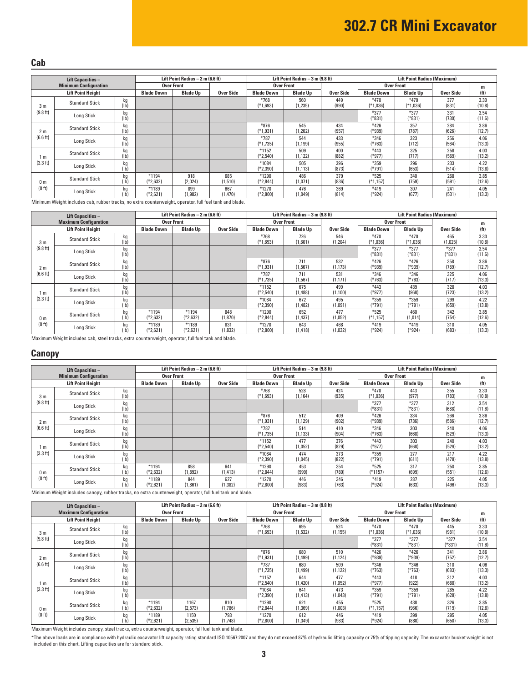#### **Cab**

| <b>Lift Capacities -</b> |                              | Lift Point Radius $-2$ m (6.6 ft) |                     |                   |                | Lift Point Radius $-3$ m (9.8 ft) |                   |              | <b>Lift Point Radius (Maximum)</b> |                      |              |                   |
|--------------------------|------------------------------|-----------------------------------|---------------------|-------------------|----------------|-----------------------------------|-------------------|--------------|------------------------------------|----------------------|--------------|-------------------|
|                          | <b>Minimum Configuration</b> |                                   |                     | <b>Over Front</b> |                |                                   | <b>Over Front</b> |              |                                    | <b>Over Front</b>    |              | m                 |
|                          | <b>Lift Point Height</b>     |                                   | <b>Blade Down</b>   | <b>Blade Up</b>   | Over Side      | <b>Blade Down</b>                 | <b>Blade Up</b>   | Over Side    | <b>Blade Down</b>                  | <b>Blade Up</b>      | Over Side    | (f <sub>t</sub> ) |
| 3 <sub>m</sub>           | <b>Standard Stick</b>        | kg<br>(Ib)                        |                     |                   |                | $*768$<br>(*1,693)                | 560<br>(1, 235)   | 449<br>(990) | $*470$<br>$(*1,036)$               | $*470$<br>$(*1,036)$ | 377<br>(831) | 3.30<br>(10.8)    |
| (9.8 ft)                 | Long Stick                   | kg<br>(1b)                        |                     |                   |                |                                   |                   |              | $*377$<br>$(*831)$                 | $*377$<br>(*831)     | 331<br>(730) | 3.54<br>(11.6)    |
| 2 m                      | <b>Standard Stick</b>        | kg<br>(1b)                        |                     |                   |                | $*876$<br>$(*1,931)$              | 545<br>(1,202)    | 434<br>(957) | $*426$<br>$(*939)$                 | 357<br>(787)         | 284<br>(626) | 3.86<br>(12.7)    |
| (6.6 ft)                 | <b>Long Stick</b>            | kg<br>(Ib)                        |                     |                   |                | $*787$<br>(*1,735)                | 544<br>(1, 199)   | 433<br>(955) | $*346$<br>(*763)                   | 323<br>(712)         | 256<br>(564) | 4.06<br>(13.3)    |
| 1 m                      | <b>Standard Stick</b>        | kg<br>(Ib)                        |                     |                   |                | $*1152$<br>$(*2,540)$             | 509<br>(1, 122)   | 400<br>(882) | $*443$<br>$(*977)$                 | 325<br>(717)         | 258<br>(569) | 4.03<br>(13.2)    |
| (3.3 ft)                 | <b>Long Stick</b>            | kg<br>(1b)                        |                     |                   |                | *1084<br>(*2,390)                 | 505<br>(1, 113)   | 396<br>(873) | *359<br>$(*791)$                   | 296<br>(653)         | 233<br>(514) | 4.22<br>(13.8)    |
| 0 <sub>m</sub>           | <b>Standard Stick</b>        | kg<br>(Ib)                        | *1194<br>$(*2,632)$ | 918<br>(2,024)    | 685<br>(1,510) | *1290<br>(*2,844)                 | 486<br>(1,071)    | 379<br>(836) | $*525$<br>$(*1,157)$               | 340<br>(759)         | 268<br>(591) | 3.85<br>(12.6)    |
| (0 ft)                   | Long Stick                   | kg                                | *1189<br>(*2,621)   | 899<br>(1, 982)   | 667<br>(1,470) | $*1270$<br>(*2,800)               | 476<br>(1,049)    | 369<br>(814) | $*419$<br>(*924)                   | 307<br>(677)         | 241<br>(531) | 4.05<br>13.3      |

Minimum Weight includes cab, rubber tracks, no extra counterweight, operator, full fuel tank and blade.

| <b>Lift Capacities -</b> |                              |            | Lift Point Radius $-2$ m (6.6 ft) |                      |                | Lift Point Radius - 3 m (9.8 ft) |                   |                 | <b>Lift Point Radius (Maximum)</b> |                      |                  |                   |
|--------------------------|------------------------------|------------|-----------------------------------|----------------------|----------------|----------------------------------|-------------------|-----------------|------------------------------------|----------------------|------------------|-------------------|
|                          | <b>Maximum Configuration</b> |            |                                   | <b>Over Front</b>    |                |                                  | <b>Over Front</b> |                 |                                    | <b>Over Front</b>    |                  | m                 |
|                          | <b>Lift Point Height</b>     |            | <b>Blade Down</b>                 | <b>Blade Up</b>      | Over Side      | <b>Blade Down</b>                | <b>Blade Up</b>   | Over Side       | <b>Blade Down</b>                  | <b>Blade Up</b>      | Over Side        | (f <sup>t</sup> ) |
| 3 <sub>m</sub>           | <b>Standard Stick</b>        | kg<br>(1b) |                                   |                      |                | $*768$<br>$(*1,693)$             | 726<br>(1,601)    | 546<br>(1, 204) | $*470$<br>$(*1,036)$               | $*470$<br>$(*1,036)$ | 465<br>(1,025)   | 3.30<br>(10.8)    |
| (9.8 ft)                 | Long Stick                   | kg<br>(1b) |                                   |                      |                |                                  |                   |                 | $*377$<br>$*831)$                  | $*377$<br>$(*831)$   | $*377$<br>(*831) | 3.54<br>(11.6)    |
| 2 <sub>m</sub>           | <b>Standard Stick</b>        | kg<br>(1b) |                                   |                      |                | $*876$<br>$(*1,931)$             | 711<br>(1, 567)   | 532<br>(1, 173) | $*426$<br>(*939)                   | $*426$<br>(*939)     | 358<br>(789)     | 3.86<br>(12.7)    |
| (6.6 ft)                 | Long Stick                   | kg<br>(Ib) |                                   |                      |                | $*787$<br>$(*1,735)$             | 711<br>(1, 567)   | 531<br>(1, 171) | $*346$<br>$*763)$                  | $*346$<br>(*763)     | 325<br>(717)     | 4.06<br>(13.3)    |
| m                        | <b>Standard Stick</b>        | kg<br>(Ib) |                                   |                      |                | $*1152$<br>$(*2,540)$            | 675<br>(1, 488)   | 499<br>(1, 100) | $*443$<br>(*977)                   | 439<br>(968)         | 328<br>(723)     | 4.03<br>(13.2)    |
| (3.3 ft)                 | Long Stick                   | kg<br>(Ib) |                                   |                      |                | *1084<br>(*2.390)                | 672<br>(1,482)    | 495<br>(1,091)  | $*359$<br>(*791)                   | $*359$<br>$(*791)$   | 299<br>(659)     | 4.22<br>(13.8)    |
| 0 <sub>m</sub>           | <b>Standard Stick</b>        | кg<br>(lb) | $*1194$<br>$(*2,632)$             | $*1194$<br>(*2,632)  | 848<br>(1,870) | *1290<br>(*2,844)                | 652<br>(1, 437)   | 477<br>(1,052)  | $*525$<br>$(*1,157)$               | 460<br>(1,014)       | 342<br>(754)     | 3.85<br>(12.6)    |
| (0 ft)                   | Long Stick                   | kg<br>lb)  | $*1189$<br>(*2.621)               | $*1189$<br>$*2,621)$ | 831<br>(1,832) | $*1270$<br>(*2,800)              | 643<br>(1, 418)   | 468<br>(1,032)  | $*419$<br>(*924)                   | $*419$<br>$(*924)$   | 310<br>(683)     | 4.05<br>(13.3)    |

Maximum Weight includes cab, steel tracks, extra counterweight, operator, full fuel tank and blade.

#### **Canopy**

|                    | <b>Lift Capacities -</b>     |                         | Lift Point Radius $-2$ m (6.6 ft) |                   |                 | Lift Point Radius - 3 m (9.8 ft) |                 |              | <b>Lift Point Radius (Maximum)</b> |                    |              |                   |
|--------------------|------------------------------|-------------------------|-----------------------------------|-------------------|-----------------|----------------------------------|-----------------|--------------|------------------------------------|--------------------|--------------|-------------------|
|                    | <b>Minimum Configuration</b> |                         |                                   | <b>Over Front</b> |                 | <b>Over Front</b>                |                 |              |                                    | <b>Over Front</b>  |              | m                 |
|                    | <b>Lift Point Height</b>     |                         | <b>Blade Down</b>                 | <b>Blade Up</b>   | Over Side       | <b>Blade Down</b>                | <b>Blade Up</b> | Over Side    | <b>Blade Down</b>                  | <b>Blade Up</b>    | Over Side    | (f <sup>t</sup> ) |
| 3 <sub>m</sub>     | <b>Standard Stick</b>        | kg<br>(1b)              |                                   |                   |                 | $*768$<br>$(*1,693)$             | 528<br>(1, 164) | 424<br>(935) | $*470$<br>(*1,036)                 | 443<br>(977)       | 355<br>(783) | 3.30<br>(10.8)    |
| (9.8 ft)           | Long Stick                   | kg<br>(1b)              |                                   |                   |                 |                                  |                 |              | $*377$<br>$(*831)$                 | $*377$<br>$(*831)$ | 312<br>(688) | 3.54<br>(11.6)    |
| 2 <sub>m</sub>     | <b>Standard Stick</b>        | kg<br>(1b)              |                                   |                   |                 | $*876$<br>$(*1,931)$             | 512<br>(1, 129) | 409<br>(902) | $*426$<br>(*939)                   | 334<br>(736)       | 266<br>(586) | 3.86<br>(12.7)    |
| (6.6 ft)           | Long Stick                   | kg<br>(1b)              |                                   |                   |                 | $*787$<br>$(*1,735)$             | 514<br>(1, 133) | 410<br>(904) | $*346$<br>(*763)                   | 303<br>(668)       | 240<br>(529) | 4.06<br>(13.3)    |
| 1 m                | <b>Standard Stick</b>        | kg<br>(1b)              |                                   |                   |                 | $*1152$<br>$(*2,540)$            | 477<br>(1,052)  | 376<br>(829) | $*443$<br>(*977)                   | 303<br>(668)       | 240<br>(529) | 4.03<br>(13.2)    |
| (3.3 ft)           | Long Stick                   | kg<br>(1b)              |                                   |                   |                 | *1084<br>$(*2,390)$              | 474<br>(1,045)  | 373<br>(822) | $*359$<br>(*791)                   | 277<br>(611)       | 217<br>(478) | 4.22<br>(13.8)    |
| 0 <sub>m</sub>     | <b>Standard Stick</b>        | kg<br>(Ib)              | $*1194$<br>$(*2,632)$             | 858<br>(1,892)    | 641<br>(1, 413) | *1290<br>$(*2,844)$              | 453<br>(999)    | 354<br>(780) | $*525$<br>$(*1157)$                | 317<br>(699)       | 250<br>(551) | 3.85<br>(12.6)    |
| (0 <sub>ft</sub> ) | Long Stick                   | kg<br>(1 <sub>b</sub> ) | *1189<br>(*2.621)                 | 844<br>(1.861)    | 627<br>(1, 382) | $*1270$<br>$(*2,800)$            | 446<br>(983)    | 346<br>(763) | $*419$<br>(*924)                   | 287<br>(633)       | 225<br>(496) | 4.05<br>(13.3)    |

Minimum Weight includes canopy, rubber tracks, no extra counterweight, operator, full fuel tank and blade.

| <b>Lift Capacities -</b>             |                          |                   | Lift Point Radius $-2$ m (6.6 ft) |                  |                   | Lift Point Radius $-3$ m (9.8 ft) |                 |                   | <b>Lift Point Radius (Maximum)</b> |                    |                  |                   |
|--------------------------------------|--------------------------|-------------------|-----------------------------------|------------------|-------------------|-----------------------------------|-----------------|-------------------|------------------------------------|--------------------|------------------|-------------------|
| <b>Maximum Configuration</b>         |                          | <b>Over Front</b> |                                   |                  | <b>Over Front</b> |                                   |                 | <b>Over Front</b> |                                    |                    | m                |                   |
|                                      | <b>Lift Point Height</b> |                   | <b>Blade Down</b>                 | <b>Blade Up</b>  | <b>Over Side</b>  | <b>Blade Down</b>                 | <b>Blade Up</b> | Over Side         | <b>Blade Down</b>                  | <b>Blade Up</b>    | Over Side        | (f <sup>t</sup> ) |
| 3 <sub>m</sub><br>(9.8 ft)           | <b>Standard Stick</b>    | kg<br>(1b)        |                                   |                  |                   | $*768$<br>$(*1,693)$              | 695<br>(1, 532) | 524<br>(1, 155)   | $*470$<br>$(*1,036)$               | $*470$<br>(*1,036) | 445<br>(981)     | 3.30<br>(10.8)    |
|                                      | Long Stick               | kg<br>(1b)        |                                   |                  |                   |                                   |                 |                   | $*377$<br>(*831)                   | $*377$<br>(*831)   | $*377$<br>(*831) | 3.54<br>(11.6)    |
| 2 <sub>m</sub><br>(6.6 ft)           | <b>Standard Stick</b>    | kg<br>(1b)        |                                   |                  |                   | $*876$<br>$(*1,931)$              | 680<br>(1, 499) | 510<br>(1, 124)   | $*426$<br>$*939)$                  | $*426$<br>(*939)   | 341<br>(752)     | 3.86<br>(12.7)    |
|                                      | Long Stick               | kg<br>(1b)        |                                   |                  |                   | $*787$<br>$(*1,735)$              | 680<br>(1,499)  | 509<br>(1, 122)   | $*346$<br>(*763)                   | $*346$<br>$(*763)$ | 310<br>(683)     | 4.06<br>(13.3)    |
| 1 m<br>(3.3 ft)                      | <b>Standard Stick</b>    | kg<br>(1b)        |                                   |                  |                   | $*1152$<br>$(*2,540)$             | 644<br>(1,420)  | 477<br>(1,052)    | $*443$<br>(*977)                   | 418<br>(922)       | 312<br>(688)     | 4.03<br>(13.2)    |
|                                      | Long Stick               | kg<br>(1b)        |                                   |                  |                   | *1084<br>$(*2,390)$               | 641<br>(1, 413) | 473<br>(1,043)    | $*359$<br>$(*791)$                 | $*359$<br>$(*791)$ | 285<br>(628)     | 4.22<br>(13.8)    |
| 0 <sub>m</sub><br>(0 <sub>ft</sub> ) | <b>Standard Stick</b>    | kg<br>(1b)        | $*1194$<br>$(*2,632)$             | 1167<br>(2,573)  | 810<br>(1,786)    | *1290<br>$(*2,844)$               | 621<br>(1, 369) | 455<br>(1,003)    | $*525$<br>(*1,157)                 | 438<br>(966)       | 326<br>(719)     | 3.85<br>(12.6)    |
|                                      | Long Stick               | kg<br>(1b)        | $*1189$<br>$*2,621)$              | 1150<br>(2, 535) | 793<br>(1,748)    | $*1270$<br>$*2,800$               | 612<br>(1, 349) | 446<br>(983)      | $*419$<br>(*924)                   | 399<br>(880)       | 295<br>(650)     | 4.05<br>(13.3)    |

Maximum Weight includes canopy, steel tracks, extra counterweight, operator, full fuel tank and blade.

\*The above loads are in compliance with hydraulic excavator lift capacity rating standard ISO 10567:2007 and they do not exceed 87% of hydraulic lifting capacity or 75% of tipping capacity. The excavator bucket weight is n